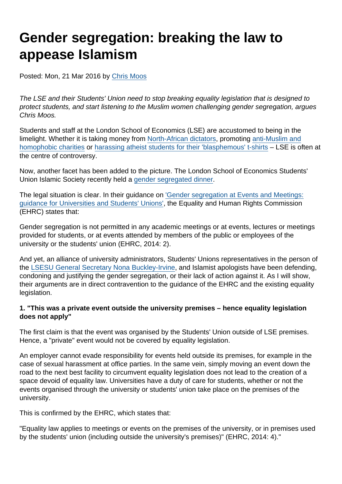# Gender segregation: breaking the law to appease Islamism

Posted: Mon, 21 Mar 2016 by [Chris Moos](https://www.secularism.org.uk/opinion/authors/874)

The LSE and their Students' Union need to stop breaking equality legislation that is designed to protect students, and start listening to the Muslim women challenging gender segregation, argues Chris Moos.

Students and staff at the London School of Economics (LSE) are accustomed to being in the limelight. Whether it is taking money from [North-African dictators](http://www.bbc.com/news/education-15966132), promoting [anti-Muslim and](http://freethinker.co.uk/2015/12/01/dishonest-and-harmful-attacks-on-extreme-secularism/) [homophobic charities](http://freethinker.co.uk/2015/12/01/dishonest-and-harmful-attacks-on-extreme-secularism/) or [harassing atheist students for their 'blasphemous' t-shirts](http://www.theguardian.com/commentisfree/2013/nov/23/censorship-in-uk-universities) – LSE is often at the centre of controversy.

Now, another facet has been added to the picture. The London School of Economics Students' Union Islamic Society recently held a [gender segregated dinner.](http://www.telegraph.co.uk/education/universityeducation/12194943/LSE-criticised-after-Islamic-Society-holds-segregated-gala-dinner.html)

The legal situation is clear. In their guidance on ['Gender segregation at Events and Meetings:](http://www.equalityhumanrights.com/sites/default/files/publication_pdf/Guidance for universities and students unions 17-07-14.pdf) [guidance for Universities and Students' Unions',](http://www.equalityhumanrights.com/sites/default/files/publication_pdf/Guidance for universities and students unions 17-07-14.pdf) the Equality and Human Rights Commission (EHRC) states that:

Gender segregation is not permitted in any academic meetings or at events, lectures or meetings provided for students, or at events attended by members of the public or employees of the university or the students' union (EHRC, 2014: 2).

And yet, an alliance of university administrators, Students' Unions representatives in the person of the [LSESU General Secretary Nona Buckley-Irvine,](http://www.itv.com/news/london/2016-03-16/lse-investigates-its-islamic-society-as-men-and-women-are-segregated-at-annual-ball/) and Islamist apologists have been defending, condoning and justifying the gender segregation, or their lack of action against it. As I will show, their arguments are in direct contravention to the guidance of the EHRC and the existing equality legislation.

1. "This was a private event outside the university premises – hence equality legislation does not apply"

The first claim is that the event was organised by the Students' Union outside of LSE premises. Hence, a "private" event would not be covered by equality legislation.

An employer cannot evade responsibility for events held outside its premises, for example in the case of sexual harassment at office parties. In the same vein, simply moving an event down the road to the next best facility to circumvent equality legislation does not lead to the creation of a space devoid of equality law. Universities have a duty of care for students, whether or not the events organised through the university or students' union take place on the premises of the university.

This is confirmed by the EHRC, which states that:

"Equality law applies to meetings or events on the premises of the university, or in premises used by the students' union (including outside the university's premises)" (EHRC, 2014: 4)."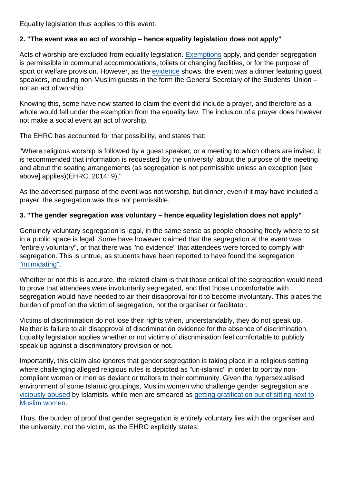Equality legislation thus applies to this event.

2. "The event was an act of worship – hence equality legislation does not apply"

Acts of worship are excluded from equality legislation. [Exemptions](http://www.huffingtonpost.co.uk/chris-moos/gender-discrimination_b_5601939.html) apply, and gender segregation is permissible in communal accommodations, toilets or changing facilities, or for the purpose of sport or welfare provision. However, as the [evidence](http://www.telegraph.co.uk/education/universityeducation/12194943/LSE-criticised-after-Islamic-Society-holds-segregated-gala-dinner.html) shows, the event was a dinner featuring guest speakers, including non-Muslim guests in the form the General Secretary of the Students' Union – not an act of worship.

Knowing this, some have now started to claim the event did include a prayer, and therefore as a whole would fall under the exemption from the equality law. The inclusion of a prayer does however not make a social event an act of worship.

The EHRC has accounted for that possibility, and states that:

"Where religious worship is followed by a guest speaker, or a meeting to which others are invited, it is recommended that information is requested [by the university] about the purpose of the meeting and about the seating arrangements (as segregation is not permissible unless an exception [see above] applies)(EHRC, 2014: 9)."

As the advertised purpose of the event was not worship, but dinner, even if it may have included a prayer, the segregation was thus not permissible.

3. "The gender segregation was voluntary – hence equality legislation does not apply"

Genuinely voluntary segregation is legal, in the same sense as people choosing freely where to sit in a public space is legal. Some have however claimed that the segregation at the event was "entirely voluntary", or that there was "no evidence" that attendees were forced to comply with segregation. This is untrue, as students have been reported to have found the segregation ["intimidating"](http://www.dailymail.co.uk/news/article-3492872/LSE-Islamic-Society-holds-segregated-event-veil-room-separate-male-female-students.html).

Whether or not this is accurate, the related claim is that those critical of the segregation would need to prove that attendees were involuntarily segregated, and that those uncomfortable with segregation would have needed to air their disapproval for it to become involuntary. This places the burden of proof on the victim of segregation, not the organiser or facilitator.

Victims of discrimination do not lose their rights when, understandably, they do not speak up. Neither is failure to air disapproval of discrimination evidence for the absence of discrimination. Equality legislation applies whether or not victims of discrimination feel comfortable to publicly speak up against a discriminatory provision or not.

Importantly, this claim also ignores that gender segregation is taking place in a religious setting where challenging alleged religious rules is depicted as "un-islamic" in order to portray noncompliant women or men as deviant or traitors to their community. Given the hypersexualised environment of some Islamic groupings, Muslim women who challenge gender segregation are [viciously abused](http://www.independent.co.uk/news/people/profiles/sara-khan-interview-the-campaigner-against-islamist-extremism-on-gender-segregation-on-campuses-a6810346.html) by Islamists, while men are smeared as [getting gratification out of sitting next to](https://www.youtube.com/watch?v=XdDkzCJa51k) [Muslim women.](https://www.youtube.com/watch?v=XdDkzCJa51k)

Thus, the burden of proof that gender segregation is entirely voluntary lies with the organiser and the university, not the victim, as the EHRC explicitly states: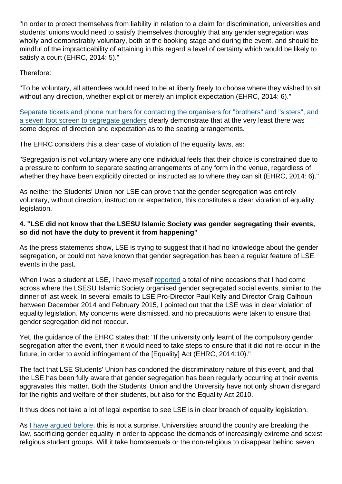"In order to protect themselves from liability in relation to a claim for discrimination, universities and students' unions would need to satisfy themselves thoroughly that any gender segregation was wholly and demonstrably voluntary, both at the booking stage and during the event, and should be mindful of the impracticability of attaining in this regard a level of certainty which would be likely to satisfy a court (EHRC, 2014: 5)."

Therefore:

"To be voluntary, all attendees would need to be at liberty freely to choose where they wished to sit without any direction, whether explicit or merely an implicit expectation (EHRC, 2014: 6)."

[Separate tickets and phone numbers for contacting the organisers for "brothers" and "sisters", and](http://www.telegraph.co.uk/education/universityeducation/12194943/LSE-criticised-after-Islamic-Society-holds-segregated-gala-dinner.html) [a seven foot screen to segregate genders](http://www.telegraph.co.uk/education/universityeducation/12194943/LSE-criticised-after-Islamic-Society-holds-segregated-gala-dinner.html) clearly demonstrate that at the very least there was some degree of direction and expectation as to the seating arrangements.

The EHRC considers this a clear case of violation of the equality laws, as:

"Segregation is not voluntary where any one individual feels that their choice is constrained due to a pressure to conform to separate seating arrangements of any form in the venue, regardless of whether they have been explicitly directed or instructed as to where they can sit (EHRC, 2014: 6)."

As neither the Students' Union nor LSE can prove that the gender segregation was entirely voluntary, without direction, instruction or expectation, this constitutes a clear violation of equality legislation.

4. "LSE did not know that the LSESU Islamic Society was gender segregating their events, so did not have the duty to prevent it from happening"

As the press statements show, LSE is trying to suggest that it had no knowledge about the gender segregation, or could not have known that gender segregation has been a regular feature of LSE events in the past.

When I was a student at LSE, I have myself [reported](https://twitter.com/ChrisMoos_/status/710110190998331396) a total of nine occasions that I had come across where the LSESU Islamic Society organised gender segregated social events, similar to the dinner of last week. In several emails to LSE Pro-Director Paul Kelly and Director Craig Calhoun between December 2014 and February 2015, I pointed out that the LSE was in clear violation of equality legislation. My concerns were dismissed, and no precautions were taken to ensure that gender segregation did not reoccur.

Yet, the guidance of the EHRC states that: "If the university only learnt of the compulsory gender segregation after the event, then it would need to take steps to ensure that it did not re-occur in the future, in order to avoid infringement of the [Equality] Act (EHRC, 2014:10)."

The fact that LSE Students' Union has condoned the discriminatory nature of this event, and that the LSE has been fully aware that gender segregation has been regularly occurring at their events aggravates this matter. Both the Students' Union and the University have not only shown disregard for the rights and welfare of their students, but also for the Equality Act 2010.

It thus does not take a lot of legal expertise to see LSE is in clear breach of equality legislation.

As [I have argued before](https://www.youtube.com/watch?v=EwVLCGO0E10), this is not a surprise. Universities around the country are breaking the law, sacrificing gender equality in order to appease the demands of increasingly extreme and sexist religious student groups. Will it take homosexuals or the non-religious to disappear behind seven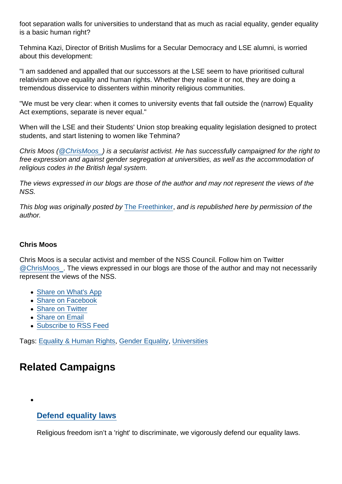foot separation walls for universities to understand that as much as racial equality, gender equality is a basic human right?

Tehmina Kazi, Director of British Muslims for a Secular Democracy and LSE alumni, is worried about this development:

"I am saddened and appalled that our successors at the LSE seem to have prioritised cultural relativism above equality and human rights. Whether they realise it or not, they are doing a tremendous disservice to dissenters within minority religious communities.

"We must be very clear: when it comes to university events that fall outside the (narrow) Equality Act exemptions, separate is never equal."

When will the LSE and their Students' Union stop breaking equality legislation designed to protect students, and start listening to women like Tehmina?

Chris Moos [\(@ChrisMoos\\_](https://twitter.com/ChrisMoos_)) is a secularist activist. He has successfully campaigned for the right to free expression and against gender segregation at universities, as well as the accommodation of religious codes in the British legal system.

The views expressed in our blogs are those of the author and may not represent the views of the NSS.

This blog was originally posted by [The Freethinker](http://freethinker.co.uk/2016/03/19/gender-segregation-breaking-the-law-to-appease-islam/), and is republished here by permission of the author.

#### Chris Moos

Chris Moos is a secular activist and member of the NSS Council. Follow him on Twitter @ChrisMoos. The views expressed in our blogs are those of the author and may not necessarily represent the views of the NSS.

- [Share on What's App](whatsapp://send?text=http://www.secularism.org.uk/opinion/2016/03/gender-segregation-breaking-the-law-to-appease-islamism?format=pdf)
- [Share on Facebook](https://www.facebook.com/sharer/sharer.php?u=http://www.secularism.org.uk/opinion/2016/03/gender-segregation-breaking-the-law-to-appease-islamism?format=pdf&t=Gender+segregation:+breaking+the+law+to+appease+Islamism)
- [Share on Twitter](https://twitter.com/intent/tweet?url=http://www.secularism.org.uk/opinion/2016/03/gender-segregation-breaking-the-law-to-appease-islamism?format=pdf&text=Gender+segregation:+breaking+the+law+to+appease+Islamism&via=NatSecSoc)
- [Share on Email](https://www.secularism.org.uk/share.html?url=http://www.secularism.org.uk/opinion/2016/03/gender-segregation-breaking-the-law-to-appease-islamism?format=pdf&title=Gender+segregation:+breaking+the+law+to+appease+Islamism)
- [Subscribe to RSS Feed](/mnt/web-data/www/cp-nss/feeds/rss/news)

Tags: [Equality & Human Rights,](https://www.secularism.org.uk/opinion/tags/Equality+&+Human+Rights) [Gender Equality](https://www.secularism.org.uk/opinion/tags/Gender+Equality), [Universities](https://www.secularism.org.uk/opinion/tags/Universities)

### Related Campaigns

#### [Defend equality laws](https://www.secularism.org.uk/defend-equality-laws/)

Religious freedom isn't a 'right' to discriminate, we vigorously defend our equality laws.